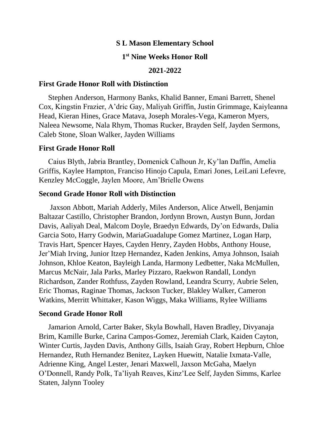### **S L Mason Elementary School**

# **1 st Nine Weeks Honor Roll**

#### **2021-2022**

## **First Grade Honor Roll with Distinction**

Stephen Anderson, Harmony Banks, Khalid Banner, Emani Barrett, Shenel Cox, Kingstin Frazier, A'dric Gay, Maliyah Griffin, Justin Grimmage, Kaiyleanna Head, Kieran Hines, Grace Matava, Joseph Morales-Vega, Kameron Myers, Naleea Newsome, Nala Rhym, Thomas Rucker, Brayden Self, Jayden Sermons, Caleb Stone, Sloan Walker, Jayden Williams

#### **First Grade Honor Roll**

Caius Blyth, Jabria Brantley, Domenick Calhoun Jr, Ky'lan Daffin, Amelia Griffis, Kaylee Hampton, Franciso Hinojo Capula, Emari Jones, LeiLani Lefevre, Kenzley McCoggle, Jaylen Moore, Am'Brielle Owens

### **Second Grade Honor Roll with Distinction**

Jaxson Abbott, Mariah Adderly, Miles Anderson, Alice Atwell, Benjamin Baltazar Castillo, Christopher Brandon, Jordynn Brown, Austyn Bunn, Jordan Davis, Aaliyah Deal, Malcom Doyle, Braedyn Edwards, Dy'on Edwards, Dalia Garcia Soto, Harry Godwin, MariaGuadalupe Gomez Martinez, Logan Harp, Travis Hart, Spencer Hayes, Cayden Henry, Zayden Hobbs, Anthony House, Jer'Miah Irving, Junior Itzep Hernandez, Kaden Jenkins, Amya Johnson, Isaiah Johnson, Khloe Keaton, Bayleigh Landa, Harmony Ledbetter, Naka McMullen, Marcus McNair, Jala Parks, Marley Pizzaro, Raekwon Randall, Londyn Richardson, Zander Rothfuss, Zayden Rowland, Leandra Scurry, Aubrie Selen, Eric Thomas, Raginae Thomas, Jackson Tucker, Blakley Walker, Cameron Watkins, Merritt Whittaker, Kason Wiggs, Maka Williams, Rylee Williams

#### **Second Grade Honor Roll**

Jamarion Arnold, Carter Baker, Skyla Bowhall, Haven Bradley, Divyanaja Brim, Kamille Burke, Carina Campos-Gomez, Jeremiah Clark, Kaiden Cayton, Winter Curtis, Jayden Davis, Anthony Gills, Isaiah Gray, Robert Hepburn, Chloe Hernandez, Ruth Hernandez Benitez, Layken Huewitt, Natalie Ixmata-Valle, Adrienne King, Angel Lester, Jenari Maxwell, Jaxson McGaha, Maelyn O'Donnell, Randy Polk, Ta'liyah Reaves, Kinz'Lee Self, Jayden Simms, Karlee Staten, Jalynn Tooley